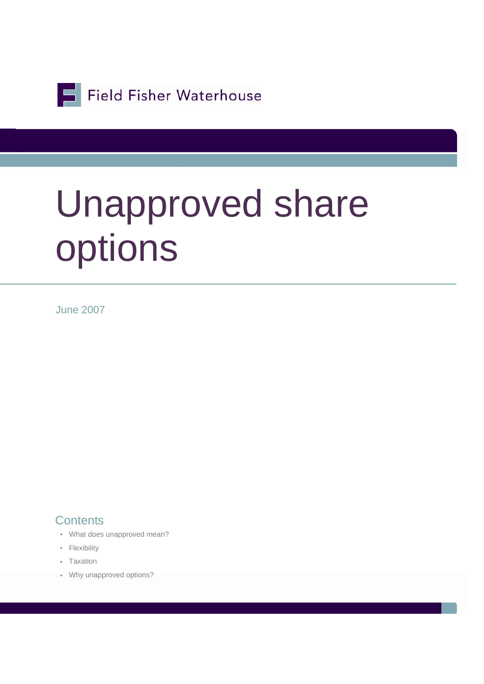Field Fisher Waterhouse

# Unapproved share options

June 2007

#### **Contents**

- What does unapproved mean?
- Flexibility
- Taxation
- Why unapproved options?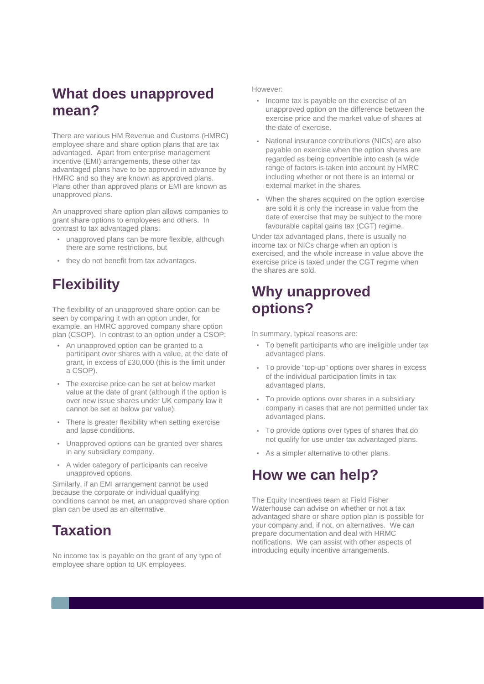## **What does unapproved mean?**

There are various HM Revenue and Customs (HMRC) employee share and share option plans that are tax advantaged. Apart from enterprise management incentive (EMI) arrangements, these other tax advantaged plans have to be approved in advance by HMRC and so they are known as approved plans. Plans other than approved plans or EMI are known as unapproved plans.

An unapproved share option plan allows companies to grant share options to employees and others. In contrast to tax advantaged plans:

- unapproved plans can be more flexible, although there are some restrictions, but
- they do not benefit from tax advantages.

# **Flexibility**

The flexibility of an unapproved share option can be seen by comparing it with an option under, for example, an HMRC approved company share option plan (CSOP). In contrast to an option under a CSOP:

- An unapproved option can be granted to a participant over shares with a value, at the date of grant, in excess of £30,000 (this is the limit under a CSOP).
- The exercise price can be set at below market value at the date of grant (although if the option is over new issue shares under UK company law it cannot be set at below par value).
- There is greater flexibility when setting exercise and lapse conditions.
- Unapproved options can be granted over shares in any subsidiary company.
- A wider category of participants can receive unapproved options.

Similarly, if an EMI arrangement cannot be used because the corporate or individual qualifying conditions cannot be met, an unapproved share option plan can be used as an alternative.

### **Taxation**

No income tax is payable on the grant of any type of employee share option to UK employees.

#### However:

- Income tax is payable on the exercise of an unapproved option on the difference between the exercise price and the market value of shares at the date of exercise.
- National insurance contributions (NICs) are also payable on exercise when the option shares are regarded as being convertible into cash (a wide range of factors is taken into account by HMRC including whether or not there is an internal or external market in the shares.
- When the shares acquired on the option exercise are sold it is only the increase in value from the date of exercise that may be subject to the more favourable capital gains tax (CGT) regime.

Under tax advantaged plans, there is usually no income tax or NICs charge when an option is exercised, and the whole increase in value above the exercise price is taxed under the CGT regime when the shares are sold.

### **Why unapproved options?**

In summary, typical reasons are:

- To benefit participants who are ineligible under tax advantaged plans.
- To provide "top-up" options over shares in excess of the individual participation limits in tax advantaged plans.
- To provide options over shares in a subsidiary company in cases that are not permitted under tax advantaged plans.
- To provide options over types of shares that do not qualify for use under tax advantaged plans.
- As a simpler alternative to other plans.

#### **How we can help?**

The Equity Incentives team at Field Fisher Waterhouse can advise on whether or not a tax advantaged share or share option plan is possible for your company and, if not, on alternatives. We can prepare documentation and deal with HRMC notifications. We can assist with other aspects of introducing equity incentive arrangements.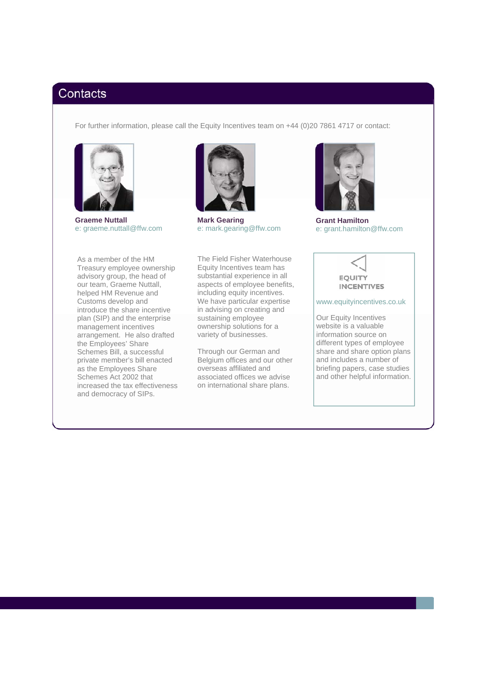#### Contacts

For further information, please call the Equity Incentives team on +44 (0)20 7861 4717 or contact:



**Graeme Nuttall**  e: graeme.nuttall@ffw.com

As a member of the HM Treasury employee ownership advisory group, the head of our team, Graeme Nuttall, helped HM Revenue and Customs develop and introduce the share incentive plan (SIP) and the enterprise management incentives arrangement. He also drafted the Employees' Share Schemes Bill, a successful private member's bill enacted as the Employees Share Schemes Act 2002 that increased the tax effectiveness and democracy of SIPs.



**Mark Gearing**  e: mark.gearing@ffw.com

The Field Fisher Waterhouse Equity Incentives team has substantial experience in all aspects of employee benefits, including equity incentives. We have particular expertise in advising on creating and sustaining employee ownership solutions for a variety of businesses.

Through our German and Belgium offices and our other overseas affiliated and associated offices we advise on international share plans.



**Grant Hamilton**  e: grant.hamilton@ffw.com



www.equityincentives.co.uk

Our Equity Incentives website is a valuable information source on different types of employee share and share option plans and includes a number of briefing papers, case studies and other helpful information.